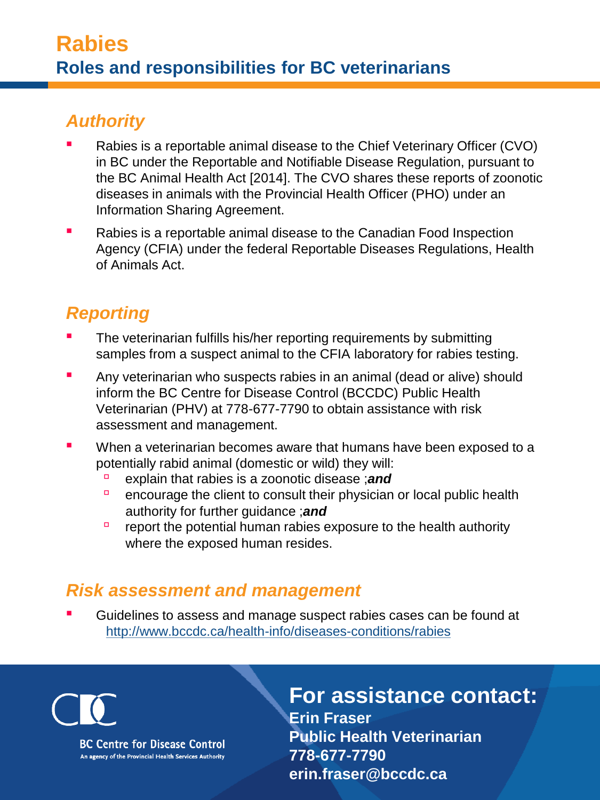### *Authority*

- Rabies is a reportable animal disease to the Chief Veterinary Officer (CVO) in BC under the Reportable and Notifiable Disease Regulation, pursuant to the BC Animal Health Act [2014]. The CVO shares these reports of zoonotic diseases in animals with the Provincial Health Officer (PHO) under an Information Sharing Agreement.
- Rabies is a reportable animal disease to the Canadian Food Inspection Agency (CFIA) under the federal Reportable Diseases Regulations, Health of Animals Act.

## *Reporting*

- The veterinarian fulfills his/her reporting requirements by submitting samples from a suspect animal to the CFIA laboratory for rabies testing.
- Any veterinarian who suspects rabies in an animal (dead or alive) should inform the BC Centre for Disease Control (BCCDC) Public Health Veterinarian (PHV) at 778-677-7790 to obtain assistance with risk assessment and management.
- When a veterinarian bec[omes aware that hu](https://www.facebook.com/antibioticwise)mans h[ave been exposed to a](https://www.facebook.com/dobugsneeddrugs) potentially rabid animal (domestic or wild) they will:
	- explain that rabies is a zoonotic disease ;*and*
	- □ encourage the client to consult their physician or local public health authority for further guidance ;*and*
	- $\Box$  report the potential human rabies exposure to the health authority where the exposed human resides.

#### *Risk assessment and management*

Guidelines to assess and manage suspect rabies cases can be found at <http://www.bccdc.ca/health-info/diseases-conditions/rabies>

**BC Centre for Disease Control** An agency of the Provincial Health Services Authority

**For assistance contact: Erin Fraser Public Health Veterinarian 778-677-7790 erin.fraser@bccdc.ca**